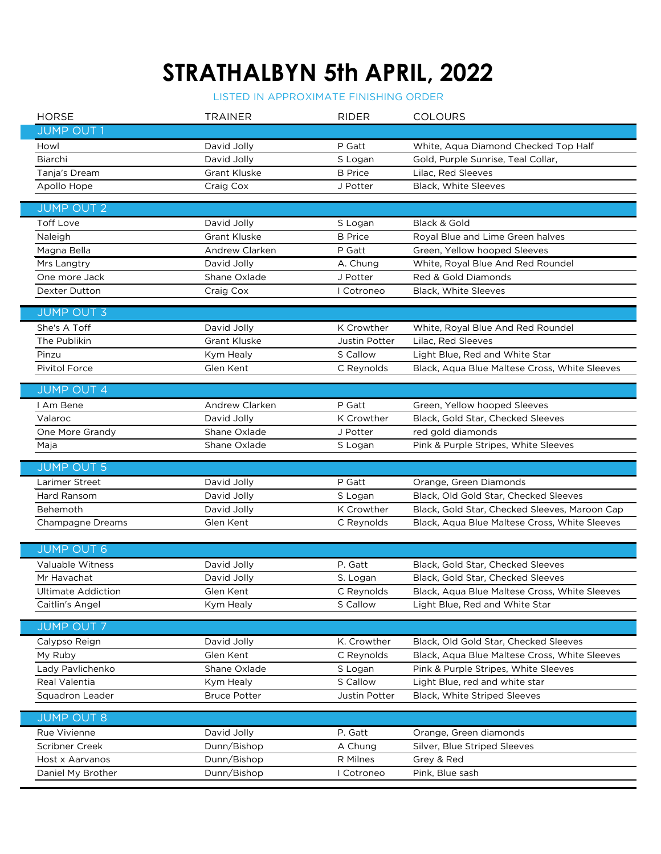## **STRATHALBYN 5th APRIL, 2022**

## LISTED IN APPROXIMATE FINISHING ORDER

|  | <b>HORSE</b>              | <b>TRAINER</b>      | <b>RIDER</b>         | <b>COLOURS</b>                                |
|--|---------------------------|---------------------|----------------------|-----------------------------------------------|
|  | <b>JUMP OUT 1</b>         |                     |                      |                                               |
|  | Howl                      | David Jolly         | P Gatt               | White, Aqua Diamond Checked Top Half          |
|  | Biarchi                   | David Jolly         | S Logan              | Gold, Purple Sunrise, Teal Collar,            |
|  | Tanja's Dream             | <b>Grant Kluske</b> | <b>B</b> Price       | Lilac, Red Sleeves                            |
|  | Apollo Hope               | Craig Cox           | J Potter             | Black, White Sleeves                          |
|  |                           |                     |                      |                                               |
|  | <b>JUMP OUT 2</b>         |                     |                      |                                               |
|  | <b>Toff Love</b>          | David Jolly         | S Logan              | Black & Gold                                  |
|  | Naleigh                   | <b>Grant Kluske</b> | <b>B</b> Price       | Royal Blue and Lime Green halves              |
|  | Magna Bella               | Andrew Clarken      | P Gatt               | Green, Yellow hooped Sleeves                  |
|  | Mrs Langtry               | David Jolly         | A. Chung             | White, Royal Blue And Red Roundel             |
|  | One more Jack             | Shane Oxlade        | J Potter             | Red & Gold Diamonds                           |
|  | Dexter Dutton             | Craig Cox           | I Cotroneo           | Black, White Sleeves                          |
|  | <b>JUMP OUT 3</b>         |                     |                      |                                               |
|  | She's A Toff              | David Jolly         | K Crowther           | White, Royal Blue And Red Roundel             |
|  | The Publikin              | <b>Grant Kluske</b> | <b>Justin Potter</b> | Lilac, Red Sleeves                            |
|  | Pinzu                     | Kym Healy           | S Callow             | Light Blue, Red and White Star                |
|  | Pivitol Force             | Glen Kent           | C Reynolds           | Black, Aqua Blue Maltese Cross, White Sleeves |
|  |                           |                     |                      |                                               |
|  | <b>JUMP OUT 4</b>         |                     |                      |                                               |
|  | I Am Bene                 | Andrew Clarken      | P Gatt               | Green, Yellow hooped Sleeves                  |
|  | Valaroc                   | David Jolly         | K Crowther           | Black, Gold Star, Checked Sleeves             |
|  | One More Grandy           | Shane Oxlade        | J Potter             | red gold diamonds                             |
|  | Maja                      | Shane Oxlade        | S Logan              | Pink & Purple Stripes, White Sleeves          |
|  |                           |                     |                      |                                               |
|  | <b>JUMP OUT 5</b>         |                     |                      |                                               |
|  | Larimer Street            | David Jolly         | P Gatt               | Orange, Green Diamonds                        |
|  | Hard Ransom               | David Jolly         | S Logan              | Black, Old Gold Star, Checked Sleeves         |
|  | Behemoth                  | David Jolly         | K Crowther           | Black, Gold Star, Checked Sleeves, Maroon Cap |
|  | Champagne Dreams          | Glen Kent           | C Reynolds           | Black, Aqua Blue Maltese Cross, White Sleeves |
|  |                           |                     |                      |                                               |
|  | <b>JUMP OUT 6</b>         |                     |                      |                                               |
|  | Valuable Witness          | David Jolly         | P. Gatt              | Black, Gold Star, Checked Sleeves             |
|  | Mr Havachat               | David Jolly         | S. Logan             | Black, Gold Star, Checked Sleeves             |
|  | <b>Ultimate Addiction</b> | Glen Kent           | C Reynolds           | Black, Aqua Blue Maltese Cross, White Sleeves |
|  | Caitlin's Angel           | Kym Healy           | S Callow             | Light Blue, Red and White Star                |
|  | <b>JUMP OUT 7</b>         |                     |                      |                                               |
|  | Calypso Reign             | David Jolly         | K. Crowther          | Black, Old Gold Star, Checked Sleeves         |
|  | My Ruby                   | Glen Kent           | C Reynolds           | Black, Aqua Blue Maltese Cross, White Sleeves |
|  | Lady Pavlichenko          | Shane Oxlade        | S Logan              | Pink & Purple Stripes, White Sleeves          |
|  | Real Valentia             | Kym Healy           | S Callow             | Light Blue, red and white star                |
|  | Squadron Leader           | <b>Bruce Potter</b> | Justin Potter        | Black, White Striped Sleeves                  |
|  |                           |                     |                      |                                               |
|  | <b>JUMP OUT 8</b>         |                     |                      |                                               |
|  | Rue Vivienne              | David Jolly         | P. Gatt              | Orange, Green diamonds                        |
|  | Scribner Creek            | Dunn/Bishop         | A Chung              | Silver, Blue Striped Sleeves                  |
|  | Host x Aarvanos           | Dunn/Bishop         | R Milnes             | Grey & Red                                    |
|  | Daniel My Brother         | Dunn/Bishop         | I Cotroneo           | Pink, Blue sash                               |
|  |                           |                     |                      |                                               |